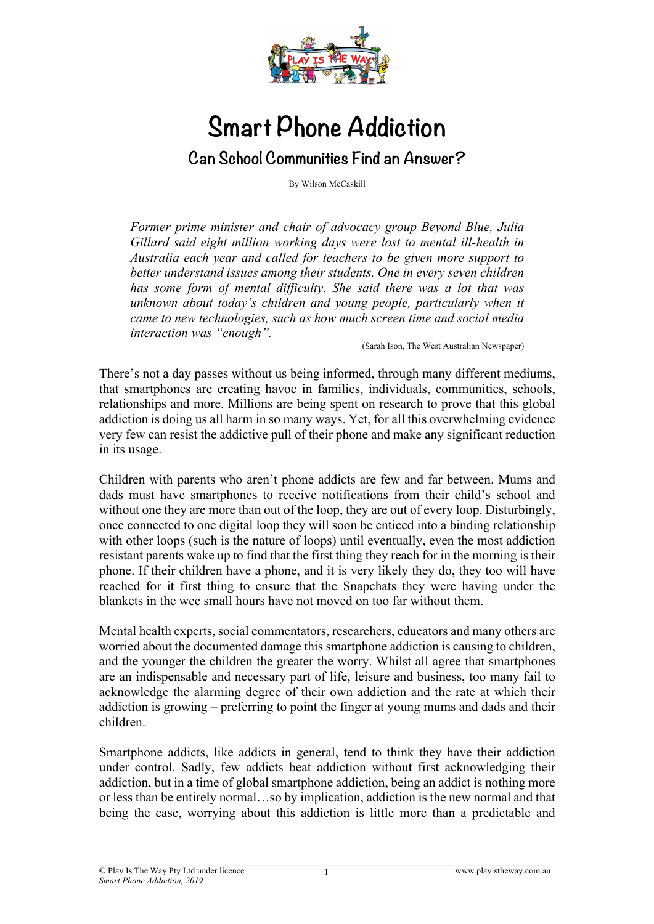

## **Smart Phone Addiction Can School Communities Find an Answer?**

By Wilson McCaskill

*Former prime minister and chair of advocacy group Beyond Blue, Julia Gillard said eight million working days were lost to mental ill-health in Australia each year and called for teachers to be given more support to better understand issues among their students. One in every seven children has some form of mental difficulty. She said there was a lot that was unknown about today's children and young people, particularly when it came to new technologies, such as how much screen time and social media interaction was "enough".* 

(Sarah Ison, The West Australian Newspaper)

There's not a day passes without us being informed, through many different mediums, that smartphones are creating havoc in families, individuals, communities, schools, relationships and more. Millions are being spent on research to prove that this global addiction is doing us all harm in so many ways. Yet, for all this overwhelming evidence very few can resist the addictive pull of their phone and make any significant reduction in its usage.

Children with parents who aren't phone addicts are few and far between. Mums and dads must have smartphones to receive notifications from their child's school and without one they are more than out of the loop, they are out of every loop. Disturbingly, once connected to one digital loop they will soon be enticed into a binding relationship with other loops (such is the nature of loops) until eventually, even the most addiction resistant parents wake up to find that the first thing they reach for in the morning is their phone. If their children have a phone, and it is very likely they do, they too will have reached for it first thing to ensure that the Snapchats they were having under the blankets in the wee small hours have not moved on too far without them.

Mental health experts, social commentators, researchers, educators and many others are worried about the documented damage this smartphone addiction is causing to children, and the younger the children the greater the worry. Whilst all agree that smartphones are an indispensable and necessary part of life, leisure and business, too many fail to acknowledge the alarming degree of their own addiction and the rate at which their addiction is growing – preferring to point the finger at young mums and dads and their children.

Smartphone addicts, like addicts in general, tend to think they have their addiction under control. Sadly, few addicts beat addiction without first acknowledging their addiction, but in a time of global smartphone addiction, being an addict is nothing more or less than be entirely normal…so by implication, addiction is the new normal and that being the case, worrying about this addiction is little more than a predictable and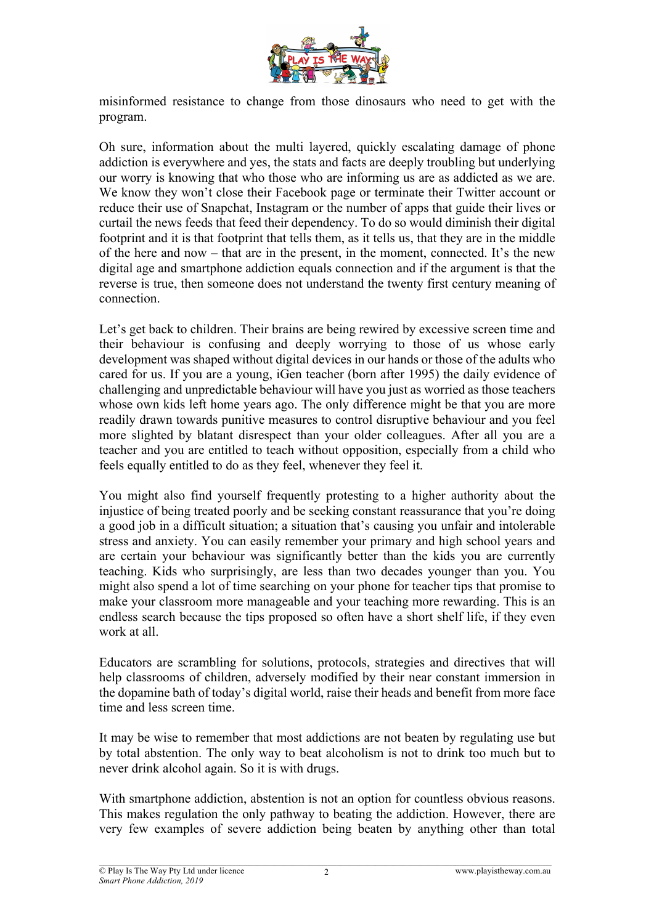

misinformed resistance to change from those dinosaurs who need to get with the program.

Oh sure, information about the multi layered, quickly escalating damage of phone addiction is everywhere and yes, the stats and facts are deeply troubling but underlying our worry is knowing that who those who are informing us are as addicted as we are. We know they won't close their Facebook page or terminate their Twitter account or reduce their use of Snapchat, Instagram or the number of apps that guide their lives or curtail the news feeds that feed their dependency. To do so would diminish their digital footprint and it is that footprint that tells them, as it tells us, that they are in the middle of the here and now – that are in the present, in the moment, connected. It's the new digital age and smartphone addiction equals connection and if the argument is that the reverse is true, then someone does not understand the twenty first century meaning of connection.

Let's get back to children. Their brains are being rewired by excessive screen time and their behaviour is confusing and deeply worrying to those of us whose early development was shaped without digital devices in our hands or those of the adults who cared for us. If you are a young, iGen teacher (born after 1995) the daily evidence of challenging and unpredictable behaviour will have you just as worried as those teachers whose own kids left home years ago. The only difference might be that you are more readily drawn towards punitive measures to control disruptive behaviour and you feel more slighted by blatant disrespect than your older colleagues. After all you are a teacher and you are entitled to teach without opposition, especially from a child who feels equally entitled to do as they feel, whenever they feel it.

You might also find yourself frequently protesting to a higher authority about the injustice of being treated poorly and be seeking constant reassurance that you're doing a good job in a difficult situation; a situation that's causing you unfair and intolerable stress and anxiety. You can easily remember your primary and high school years and are certain your behaviour was significantly better than the kids you are currently teaching. Kids who surprisingly, are less than two decades younger than you. You might also spend a lot of time searching on your phone for teacher tips that promise to make your classroom more manageable and your teaching more rewarding. This is an endless search because the tips proposed so often have a short shelf life, if they even work at all.

Educators are scrambling for solutions, protocols, strategies and directives that will help classrooms of children, adversely modified by their near constant immersion in the dopamine bath of today's digital world, raise their heads and benefit from more face time and less screen time.

It may be wise to remember that most addictions are not beaten by regulating use but by total abstention. The only way to beat alcoholism is not to drink too much but to never drink alcohol again. So it is with drugs.

With smartphone addiction, abstention is not an option for countless obvious reasons. This makes regulation the only pathway to beating the addiction. However, there are very few examples of severe addiction being beaten by anything other than total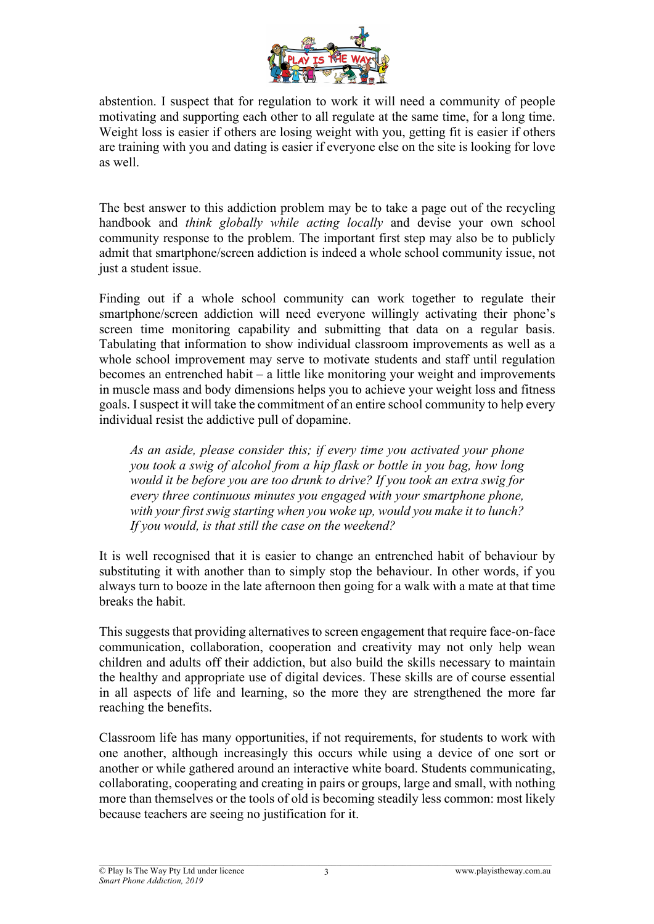

abstention. I suspect that for regulation to work it will need a community of people motivating and supporting each other to all regulate at the same time, for a long time. Weight loss is easier if others are losing weight with you, getting fit is easier if others are training with you and dating is easier if everyone else on the site is looking for love as well.

The best answer to this addiction problem may be to take a page out of the recycling handbook and *think globally while acting locally* and devise your own school community response to the problem. The important first step may also be to publicly admit that smartphone/screen addiction is indeed a whole school community issue, not just a student issue.

Finding out if a whole school community can work together to regulate their smartphone/screen addiction will need everyone willingly activating their phone's screen time monitoring capability and submitting that data on a regular basis. Tabulating that information to show individual classroom improvements as well as a whole school improvement may serve to motivate students and staff until regulation becomes an entrenched habit – a little like monitoring your weight and improvements in muscle mass and body dimensions helps you to achieve your weight loss and fitness goals. I suspect it will take the commitment of an entire school community to help every individual resist the addictive pull of dopamine.

*As an aside, please consider this; if every time you activated your phone you took a swig of alcohol from a hip flask or bottle in you bag, how long would it be before you are too drunk to drive? If you took an extra swig for every three continuous minutes you engaged with your smartphone phone, with your first swig starting when you woke up, would you make it to lunch? If you would, is that still the case on the weekend?*

It is well recognised that it is easier to change an entrenched habit of behaviour by substituting it with another than to simply stop the behaviour. In other words, if you always turn to booze in the late afternoon then going for a walk with a mate at that time breaks the habit.

This suggests that providing alternatives to screen engagement that require face-on-face communication, collaboration, cooperation and creativity may not only help wean children and adults off their addiction, but also build the skills necessary to maintain the healthy and appropriate use of digital devices. These skills are of course essential in all aspects of life and learning, so the more they are strengthened the more far reaching the benefits.

Classroom life has many opportunities, if not requirements, for students to work with one another, although increasingly this occurs while using a device of one sort or another or while gathered around an interactive white board. Students communicating, collaborating, cooperating and creating in pairs or groups, large and small, with nothing more than themselves or the tools of old is becoming steadily less common: most likely because teachers are seeing no justification for it.